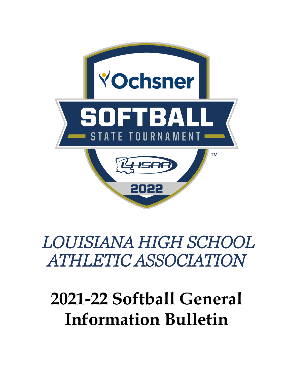

## *LOUISIANA HIGH SCHOOL ATHLETIC ASSOCIATION*

# **2021-22 Softball General Information Bulletin**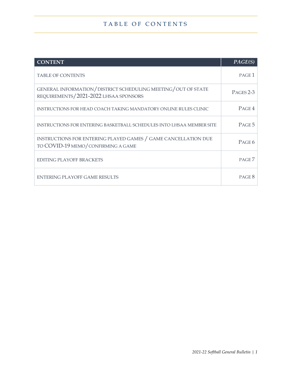## TABLE OF CONTENTS

| <b>CONTENT</b>                                                                                        | PAGE(S)           |
|-------------------------------------------------------------------------------------------------------|-------------------|
| <b>TABLE OF CONTENTS</b>                                                                              | PAGE <sub>1</sub> |
| GENERAL INFORMATION/DISTRICT SCHEDULING MEETING/OUT OF STATE<br>REQUIREMENTS/2021-2022 LHSAA SPONSORS | PAGES 2-3         |
| INSTRUCTIONS FOR HEAD COACH TAKING MANDATORY ONLINE RULES CLINIC                                      | PAGE 4            |
| INSTRUCTIONS FOR ENTERING BASKETBALL SCHEDULES INTO LHSAA MEMBER SITE                                 | PAGE 5            |
| INSTRUCTIONS FOR ENTERING PLAYED GAMES / GAME CANCELLATION DUE<br>TO COVID-19 MEMO/CONFIRMING A GAME  | PAGE 6            |
| <b>EDITING PLAYOFF BRACKETS</b>                                                                       | PAGE <sub>7</sub> |
| ENTERING PLAYOFF GAME RESULTS                                                                         | PAGE 8            |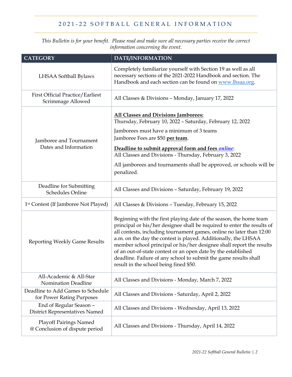## 2021 - 2 2 SOFT BALL GENERAL INFORMATION

*This Bulletin is for your benefit. Please read and make sure all necessary parties receive the correct information concerning the event.*

| <b>CATEGORY</b>                                                  | <b>DATE/INFORMATION</b>                                                                                                                                                                                                                                                                                                                                                                                                                                                                                                                        |
|------------------------------------------------------------------|------------------------------------------------------------------------------------------------------------------------------------------------------------------------------------------------------------------------------------------------------------------------------------------------------------------------------------------------------------------------------------------------------------------------------------------------------------------------------------------------------------------------------------------------|
| LHSAA Softball Bylaws                                            | Completely familiarize yourself with Section 19 as well as all<br>necessary sections of the 2021-2022 Handbook and section. The<br>Handbook and each section can be found on www.lhsaa.org.                                                                                                                                                                                                                                                                                                                                                    |
| <b>First Official Practice/Earliest</b><br>Scrimmage Allowed     | All Classes & Divisions - Monday, January 17, 2022                                                                                                                                                                                                                                                                                                                                                                                                                                                                                             |
| Jamboree and Tournament<br>Dates and Information                 | All Classes and Divisions Jamborees:<br>Thursday, February 10, 2022 - Saturday, February 12, 2022<br>Jamborees must have a minimum of 3 teams<br>Jamboree Fees are \$50 per team.<br>Deadline to submit approval form and fees <i>online</i> :<br>All Classes and Divisions - Thursday, February 3, 2022<br>All jamborees and tournaments shall be approved, or schools will be<br>penalized.                                                                                                                                                  |
| Deadline for Submitting<br><b>Schedules Online</b>               | All Classes and Divisions - Saturday, February 19, 2022                                                                                                                                                                                                                                                                                                                                                                                                                                                                                        |
| 1 <sup>st</sup> Contest (If Jamboree Not Played)                 | All Classes & Divisions - Tuesday, February 15, 2022                                                                                                                                                                                                                                                                                                                                                                                                                                                                                           |
| <b>Reporting Weekly Game Results</b>                             | Beginning with the first playing date of the season, the home team<br>principal or his/her designee shall be required to enter the results of<br>all contests, including tournament games, online no later than 12:00<br>a.m. on the day the contest is played. Additionally, the LHSAA<br>member school principal or his/her designee shall report the results<br>of an out-of-state contest or an open date by the established<br>deadline. Failure of any school to submit the game results shall<br>result in the school being fined \$50. |
| All-Academic & All-Star<br><b>Nomination Deadline</b>            | All Classes and Divisions - Monday, March 7, 2022                                                                                                                                                                                                                                                                                                                                                                                                                                                                                              |
| Deadline to Add Games to Schedule<br>for Power Rating Purposes   | All Classes and Divisions - Saturday, April 2, 2022                                                                                                                                                                                                                                                                                                                                                                                                                                                                                            |
| End of Regular Season -<br><b>District Representatives Named</b> | All Classes and Divisions - Wednesday, April 13, 2022                                                                                                                                                                                                                                                                                                                                                                                                                                                                                          |
| <b>Playoff Pairings Named</b><br>@ Conclusion of dispute period  | All Classes and Divisions - Thursday, April 14, 2022                                                                                                                                                                                                                                                                                                                                                                                                                                                                                           |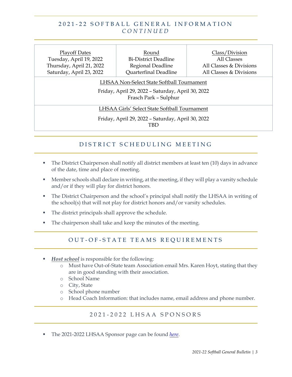#### 2021 - 2 2 SOFT BALL GENERAL INFORMATION *CONTINUED*

| <b>Playoff Dates</b><br>Tuesday, April 19, 2022<br>Thursday, April 21, 2022<br>Saturday, April 23, 2022   | Round<br><b>Bi-District Deadline</b><br>Regional Deadline<br>Quarterfinal Deadline                                       | Class/Division<br>All Classes<br>All Classes & Divisions<br>All Classes & Divisions |  |  |  |  |  |
|-----------------------------------------------------------------------------------------------------------|--------------------------------------------------------------------------------------------------------------------------|-------------------------------------------------------------------------------------|--|--|--|--|--|
|                                                                                                           | LHSAA Non-Select State Softball Tournament<br>Friday, April 29, 2022 - Saturday, April 30, 2022<br>Frasch Park - Sulphur |                                                                                     |  |  |  |  |  |
| LHSAA Girls' Select State Softball Tournament<br>Friday, April 29, 2022 - Saturday, April 30, 2022<br>TBD |                                                                                                                          |                                                                                     |  |  |  |  |  |

## DISTRICT SCHEDULING MEETING

- The District Chairperson shall notify all district members at least ten (10) days in advance of the date, time and place of meeting.
- **Member schools shall declare in writing, at the meeting, if they will play a varsity schedule** and/or if they will play for district honors.
- The District Chairperson and the school's principal shall notify the LHSAA in writing of the school(s) that will not play for district honors and/or varsity schedules.
- The district principals shall approve the schedule.
- The chairperson shall take and keep the minutes of the meeting.

#### OUT-OF-STATE TEAMS REQUIREMENTS

- *Host school* is responsible for the following:
	- o Must have Out-of-State team Association email Mrs. Karen Hoyt, stating that they are in good standing with their association.
	- o School Name
	- o City, State
	- o School phone number
	- o Head Coach Information: that includes name, email address and phone number.

#### 2 0 2 1 - 202 2 LHSAA SPONSORS

The 2021-2022 LHSAA Sponsor page can be found *[here](https://www.lhsaa.org/corporate-sponsorships)*.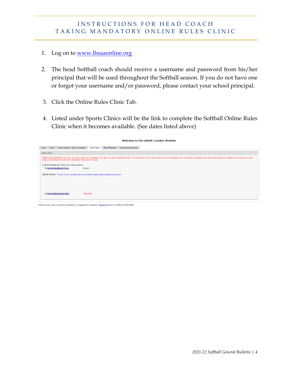#### INSTRUCTIONS FOR HEAD COACH TAKING MANDATORY ONLINE RULES CLINIC

- 1. Log on to [www.lhsaaonline.org](http://www.lhsaaonline.org/)
- 2. The head Softball coach should receive a username and password from his/her principal that will be used throughout the Softball season. If you do not have one or forgot your username and/or password, please contact your school principal.
- 3. Click the Online Rules Clinic Tab.
- 4. Listed under Sports Clinics will be the link to complete the Softball Online Rules Clinic when it becomes available. (See dates listed above)

|      | <b>Welcome to the LHSAA Coaches Website</b> |       |                                                                                                         |                       |                         |                                |                                                                                                                                                                                                                                |  |  |  |
|------|---------------------------------------------|-------|---------------------------------------------------------------------------------------------------------|-----------------------|-------------------------|--------------------------------|--------------------------------------------------------------------------------------------------------------------------------------------------------------------------------------------------------------------------------|--|--|--|
| Home |                                             | Forms | Power Ranking / Sports' Schedules                                                                       | <b>Online Clinics</b> | <b>Playoff Brackets</b> | <b>Disqualification Report</b> |                                                                                                                                                                                                                                |  |  |  |
|      | <b>Online Clinics</b>                       |       |                                                                                                         |                       |                         |                                |                                                                                                                                                                                                                                |  |  |  |
|      |                                             |       | string not attached or incorrect" error taking the online rules clinic quiz.                            |                       |                         |                                | NOTE for Internet Explorer 10 users: You must put IE 10 in compatibility view after you login to the Member Site. To do this either click the Tools menu and click Compatibility View or click the compatibility view or butto |  |  |  |
|      |                                             |       | LHSAA Handbook Clinic (45 minutes duration)                                                             |                       |                         |                                |                                                                                                                                                                                                                                |  |  |  |
|      |                                             |       | <b>D</b> Online Handbook Clinic<br>Passed                                                               |                       |                         |                                |                                                                                                                                                                                                                                |  |  |  |
|      |                                             |       | Sports Clinics - Clinics will only be listed below during certain specific dates assigned to the sport. |                       |                         |                                |                                                                                                                                                                                                                                |  |  |  |
|      |                                             |       |                                                                                                         |                       |                         |                                |                                                                                                                                                                                                                                |  |  |  |
|      |                                             |       |                                                                                                         |                       |                         |                                |                                                                                                                                                                                                                                |  |  |  |
|      |                                             |       |                                                                                                         |                       |                         |                                |                                                                                                                                                                                                                                |  |  |  |
|      |                                             |       | <b>D</b> Online Basketball Clinic                                                                       | Required              |                         |                                |                                                                                                                                                                                                                                |  |  |  |
|      |                                             |       |                                                                                                         |                       |                         |                                |                                                                                                                                                                                                                                |  |  |  |

Please send us any comments, questions, or suggestions using the Contact Us form or call the LHSAA office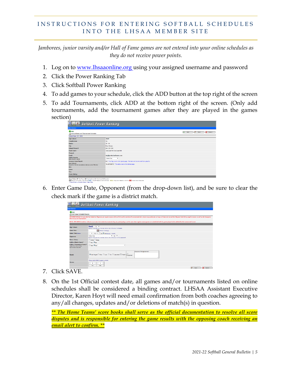#### INSTRUCTIONS FOR ENTERING SOFTBALL SCHEDULES INTO THE LHSAA MEMBER SITE

*Jamborees, junior varsity and/or Hall of Fame games are not entered into your online schedules as they do not receive power points.*

- 1. Log on to <u>www.lhsaaonline.org</u> using your assigned username and password
- 2. Click the Power Ranking Tab
- 3. Click Softball Power Ranking
- 4. To add games to your schedule, click the ADD button at the top right of the screen
- 5. To add Tournaments, click ADD at the bottom right of the screen. (Only add tournaments, add the tournament games after they are played in the games section)

| <b>A Softball Power Ranking</b>                                    |                                                                                   |  |  |  |  |  |
|--------------------------------------------------------------------|-----------------------------------------------------------------------------------|--|--|--|--|--|
| <b>Administrator</b>                                               |                                                                                   |  |  |  |  |  |
| <b>C</b> back<br>School Game and Tournament Schedule:              | $\bigcirc$ Cancel<br>Add<br>⊸<br>Save<br>c+.                                      |  |  |  |  |  |
| <b>School Year: 2017-2018</b>                                      |                                                                                   |  |  |  |  |  |
| <b>High School:</b>                                                | <b>Ztest2</b>                                                                     |  |  |  |  |  |
| <b>Classification:</b>                                             | 14                                                                                |  |  |  |  |  |
| <b>District:</b>                                                   | $12 - 14$                                                                         |  |  |  |  |  |
| City:                                                              | New Orleans                                                                       |  |  |  |  |  |
| School Phone #:                                                    | 504-123-1234                                                                      |  |  |  |  |  |
| <b>Head Coach:</b>                                                 | TestCoachVM TestCoachVM                                                           |  |  |  |  |  |
| Phone #:                                                           |                                                                                   |  |  |  |  |  |
| Email:                                                             | win@gentechsoftware.com                                                           |  |  |  |  |  |
| <b>District Results:</b><br>Enter district results                 | Select One<br>$\overline{\phantom{a}}$                                            |  |  |  |  |  |
| <b>Removed from Playoff:</b>                                       | No." This flag is set in the Sports page. The team will be removed from playoffs. |  |  |  |  |  |
| New School:<br>Based on School acceptance date as a new Member     | Yes (\$/1/2017) * This date is set in the School page.                            |  |  |  |  |  |
| <b>Win:</b>                                                        |                                                                                   |  |  |  |  |  |
| Loses:                                                             |                                                                                   |  |  |  |  |  |
| Ties:                                                              |                                                                                   |  |  |  |  |  |
| <b>Power Rating:</b>                                               |                                                                                   |  |  |  |  |  |
|                                                                    |                                                                                   |  |  |  |  |  |
| Game Statusi NP=Not Played NC+Not Confirmed C=Confirmed D=Disputed |                                                                                   |  |  |  |  |  |

6. Enter Game Date, Opponent (from the drop-down list), and be sure to clear the check mark if the game is a district match.

|                                                                               | <b>El Softball Power Ranking</b>                                                                                                                                                                                               |
|-------------------------------------------------------------------------------|--------------------------------------------------------------------------------------------------------------------------------------------------------------------------------------------------------------------------------|
| Administrator                                                                 |                                                                                                                                                                                                                                |
|                                                                               |                                                                                                                                                                                                                                |
| <b>O</b> back<br>Add Game Schedule/Results:                                   |                                                                                                                                                                                                                                |
| limit in any one tournament.                                                  | 2017-2018 Softball: A team shall be limited to 34 games per regular season with no limit on the number of tournaments that a team may participate as long as it does not exceed the 34-game limit during regular season as wel |
|                                                                               | NOTE: 2017-2018 Schedules: Schools must enter the in-state tournaments they are participating in at the same time regular season games are scheduled with the games played to be added after the tournament is over.           |
| <b>High School:</b>                                                           | Ztest2 ist =<br>Specify if this game is the 1st. 2nd or 3rd of the day for Ztest2.                                                                                                                                             |
| <b>Game Date:</b>                                                             | Fell Fornat mnvod/yyyy                                                                                                                                                                                                         |
| Game Time: same                                                               |                                                                                                                                                                                                                                |
| Opponent:                                                                     | $v$ 1d $v$<br>Select One<br>Specify if this game is the 1st. 2nd or 2nd of the day for the opponent.                                                                                                                           |
| Home / Away:                                                                  | <b><i>Ditome</i></b> <i>CAMM</i>                                                                                                                                                                                               |
| Is this a District Game?                                                      | Oves One                                                                                                                                                                                                                       |
| Is this a Tournament Game?'<br>Select the name of the<br>teamament drep list. | $\odot$ <sub>Yes</sub> $\odot$ <sub>No</sub><br>۰                                                                                                                                                                              |
| Result:                                                                       | Reason of Pestponement<br>O Nat Played C Won C Lost C Tie C Carcelled E Ferfelt' Postponed                                                                                                                                     |
|                                                                               | * Please notly LHSIA if a game is a forfeit.                                                                                                                                                                                   |
| Scores:                                                                       | $\circ$<br>ø<br>You<br>Opp                                                                                                                                                                                                     |
|                                                                               | <b>Cancel</b><br>Save                                                                                                                                                                                                          |

- 7. Click SAVE.
- 8. On the 1st Official contest date, all games and/or tournaments listed on online schedules shall be considered a binding contract. LHSAA Assistant Executive Director, Karen Hoyt will need email confirmation from both coaches agreeing to any/all changes, updates and/or deletions of match(s) in question.

*\*\* The Home Teams' score books shall serve as the official documentation to resolve all score disputes and is responsible for entering the game results with the opposing coach receiving an email alert to confirm. \*\**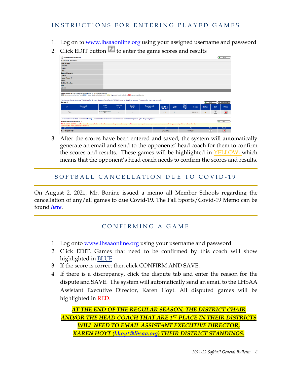#### INSTRUCTIONS FOR ENTERING PLAYED GAMES

- 1. Log on to [www.lhsaaonline.org](http://www.lhsaaonline.org/) using your assigned username and password
- 2. Click EDIT button  $\ell$  to enter the game scores and results

| School Game Schedule:               |                                                                                                                                                                                                                                                                                                                              |                          |                                   |                                                          |                           |                       |               |                            |               |               |                          |                              |
|-------------------------------------|------------------------------------------------------------------------------------------------------------------------------------------------------------------------------------------------------------------------------------------------------------------------------------------------------------------------------|--------------------------|-----------------------------------|----------------------------------------------------------|---------------------------|-----------------------|---------------|----------------------------|---------------|---------------|--------------------------|------------------------------|
| School Year: 2015-2016              |                                                                                                                                                                                                                                                                                                                              |                          |                                   |                                                          |                           |                       |               |                            |               |               |                          |                              |
| <b>High School:</b>                 |                                                                                                                                                                                                                                                                                                                              |                          |                                   |                                                          |                           |                       |               |                            |               |               |                          |                              |
| Division:                           |                                                                                                                                                                                                                                                                                                                              |                          |                                   |                                                          |                           |                       |               |                            |               |               |                          |                              |
| <b>District:</b>                    |                                                                                                                                                                                                                                                                                                                              |                          |                                   |                                                          |                           |                       |               |                            |               |               |                          |                              |
| City:                               |                                                                                                                                                                                                                                                                                                                              |                          |                                   |                                                          |                           |                       |               |                            |               |               |                          |                              |
| School Phone #:                     |                                                                                                                                                                                                                                                                                                                              |                          |                                   |                                                          |                           |                       |               |                            |               |               |                          |                              |
| Coach:                              |                                                                                                                                                                                                                                                                                                                              |                          |                                   |                                                          |                           |                       |               |                            |               |               |                          |                              |
| Home Phone #:                       |                                                                                                                                                                                                                                                                                                                              |                          |                                   |                                                          |                           |                       |               |                            |               |               |                          |                              |
| Email:                              |                                                                                                                                                                                                                                                                                                                              |                          |                                   |                                                          |                           |                       |               |                            |               |               |                          |                              |
| <b>District Results:</b>            |                                                                                                                                                                                                                                                                                                                              |                          |                                   |                                                          |                           |                       |               |                            |               |               |                          |                              |
| Win:                                |                                                                                                                                                                                                                                                                                                                              |                          |                                   |                                                          |                           |                       |               |                            |               |               |                          |                              |
| Loses:                              |                                                                                                                                                                                                                                                                                                                              |                          |                                   |                                                          |                           |                       |               |                            |               |               |                          |                              |
|                                     | Game Status: NP=Not Played NC=Not Confirmed C=Confirmed D=Disputed<br>Grey Game Confirmed or Not Played Blue: : Result Needs to be Confirmed Yellow :Opponent Needs to Confirm Red :Game result Disputed                                                                                                                     |                          |                                   |                                                          |                           |                       |               |                            |               |               |                          |                              |
| Games : 1                           | Use this section to Add and Edit Regular Season Games (Deadline: 8/29/2016) and to Add Tournament Games (after they are played).                                                                                                                                                                                             |                          |                                   |                                                          |                           |                       |               |                            |               | ÷             | Add                      | <b>CONFIDENTIALS VERSION</b> |
|                                     | Opponent<br>ÄΨ                                                                                                                                                                                                                                                                                                               | Date<br>$\overline{A}$   | <b>Division</b><br>$\overline{A}$ | <b>District</b><br>$\blacktriangle$ $\blacktriangledown$ | <b>Tournament</b><br>Host | Match# on<br>that day | Home/<br>Away | <b>Win/</b><br>Loss<br>AV. | <b>Scores</b> | <b>Status</b> | Edit                     | <b>Delete</b>                |
| Test<br>1.                          |                                                                                                                                                                                                                                                                                                                              | 8/25/2016 2:00:00<br>PM. | ×                                 | $\mathbf{I}$                                             |                           | 1(d)                  | н             |                            | 50.00.00      | NP.           | $\overline{\mathcal{G}}$ | $\overline{\mathbf{x}}$      |
| <b>Tournaments Participating: 1</b> | Use this section to Add Tournaments only,,use the above "Games" section to add tournament games after they are played.<br>NOTE: 2013 - 2014 Schedules: Schools must enter the in-state tournements they are participating in at the same time reqular season games are scheduled with the games played to be added after the |                          |                                   |                                                          |                           |                       |               |                            |               |               |                          | Add                          |
| Tournaments                         | tournament is over. (Deadline:8/29/2016).                                                                                                                                                                                                                                                                                    |                          |                                   |                                                          |                           | From                  |               |                            | To:           |               | Edit                     | <b>Delete</b>                |

3. After the scores have been entered and saved, the system will automatically generate an email and send to the opponents' head coach for them to confirm the scores and results. These games will be highlighted in **YELLOW**, which means that the opponent's head coach needs to confirm the scores and results.

#### SOFT BALL CANCELLATION DUE TO COVID - 19

On August 2, 2021, Mr. Bonine issued a memo all Member Schools regarding the cancellation of any/all games to due Covid-19. The Fall Sports/Covid-19 Memo can be found *[here](https://files.constantcontact.com/dddb7521801/67d6fbd6-b217-4175-a77b-5a899a74f4b3.pdf)*.

#### CONFIRMING A GAME

- 1. Log onto <u>www.lhsaaonline.org</u> using your username and password
- 2. Click EDIT. Games that need to be confirmed by this coach will show highlighted in BLUE.
- 3. If the score is correct then click CONFIRM AND SAVE.
- 4. If there is a discrepancy, click the dispute tab and enter the reason for the dispute and SAVE. The system will automatically send an email to the LHSAA Assistant Executive Director, Karen Hoyt. All disputed games will be highlighted in RED.

*AT THE END OF THE REGULAR SEASON, THE DISTRICT CHAIR AND/OR THE HEAD COACH THAT ARE 1ST PLACE IN THEIR DISTRICTS WILL NEED TO EMAIL ASSISTANT EXECUTIVE DIRECTOR, KAREN HOYT [\(khoyt@lhsaa.org\)](mailto:khoyt@lhsaa.org) THEIR DISTRICT STANDINGS.*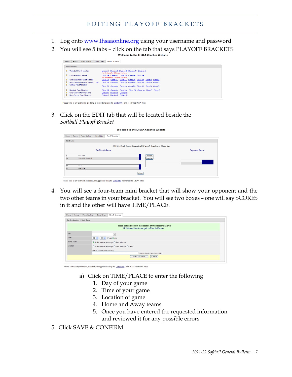- 1. Log onto [www.lhsaaonline.org](http://www.lhsaaonline.org/) using your username and password
- 2. You will see 5 tabs click on the tab that says PLAYOFF BRACKETS

| Home     | Power Ranking<br>Forms                                      | Online Clinics | <b>Plavoff Brackets</b>                                                                              |                                            |  |  |  |
|----------|-------------------------------------------------------------|----------------|------------------------------------------------------------------------------------------------------|--------------------------------------------|--|--|--|
|          | <b>Plavoff Brackets</b>                                     |                |                                                                                                      |                                            |  |  |  |
| Þ.       | <b>Volleyball Playoff bracket</b>                           |                | Division   Division    Division    Division IV Division V<br>Not Available for Editing at this time. |                                            |  |  |  |
| Þ.       | <b>Football Playoff bracket</b>                             |                | Class 5A Class 4A Class 3A Class 2A Class 1A<br>Not Available for Editing at this time.              |                                            |  |  |  |
| Þ.       | Girls Basketball Playoff bracket                            |                | Class 5A Class 4A Class 3A Class 2A Class 1A Class B Class C                                         |                                            |  |  |  |
| Þ.<br>Þ. | Boys Basketball Playoff bracket<br>Softball Playoff bracket | Edit           | Class 5A Class 4A Class 3A Class 2A Class 1A Class B Class C                                         |                                            |  |  |  |
|          |                                                             |                | Class 5A Class 4A                                                                                    | Class 3A Class 2A Class 1A Class B Class C |  |  |  |
| Þ.       | <b>Baseball Playoff bracket</b>                             |                | Class 5A Class 4A                                                                                    | Class 3A Class 2A Class 1A Class B Class C |  |  |  |
| Þ.       | <b>Girls Soccer Playoff bracket</b>                         |                | Division1 Division                                                                                   | Division III                               |  |  |  |
| D.       | <b>Boys Soccer Playoff bracket</b>                          |                | Division J Division                                                                                  | Division III                               |  |  |  |
|          |                                                             |                |                                                                                                      |                                            |  |  |  |

Please send us any comments, questions, or suggestions using the Contact Us form or call the LHSAA office.

3. Click on the EDIT tab that will be located beside the *Softball Playoff Bracket*

| Home | Forms              | Power Ranking      | <b>Online Clinics</b>   | <b>Playoff Brackets</b>                                |                      |
|------|--------------------|--------------------|-------------------------|--------------------------------------------------------|----------------------|
|      | <b>Edt Bracket</b> |                    |                         |                                                        |                      |
|      |                    |                    |                         | 2013 LHSAA Boy's Basketball Playoff Bracket - Class 4A |                      |
|      |                    |                    | <b>Bi-District Game</b> |                                                        | <b>Regional Game</b> |
| ь    |                    | Fair Park          |                         | <b>Scores</b>                                          |                      |
| 28   |                    | Vandebilt Catholic |                         | Time/Place                                             |                      |
| 12   |                    | Tara               |                         |                                                        |                      |
|      |                    | <b>DeRidder</b>    |                         |                                                        |                      |

4. You will see a four-team mini bracket that will show your opponent and the two other teams in your bracket. You will see two boxes – one will say SCORES in it and the other will have TIME/PLACE.

| Home       | Forms | Power Ranking                 | <b>Online Clinics</b>             | <b>Playoff Brackets</b>                                                                                  |  |
|------------|-------|-------------------------------|-----------------------------------|----------------------------------------------------------------------------------------------------------|--|
|            |       | Confirm Location of Next Game |                                   |                                                                                                          |  |
|            |       |                               |                                   | Please set and confirm the location of this Regional Game<br>St. Michael the Archangel vs East Jefferson |  |
| Day.       |       |                               |                                   | ise.                                                                                                     |  |
| Time:      |       |                               | 04 v : 00 v OAM OPM               |                                                                                                          |  |
| Home Team: |       |                               |                                   | St. Michael the Archangel C East Jefferson                                                               |  |
| Location:  |       |                               | If Other location please specify: | ○ St. Michael the Archangel ○ East Jefferson ○ Other<br>example: Court1, Superdome, Field1               |  |
|            |       |                               |                                   | Save & Confirm<br>Cancel                                                                                 |  |

ase send us any comments, questions, or suggestions using the Contact Us form or call the LHSAA office

- a) Click on TIME/PLACE to enter the following
	- 1. Day of your game
	- 2. Time of your game
	- 3. Location of game
	- 4. Home and Away teams
	- 5. Once you have entered the requested information and reviewed it for any possible errors
- 5. Click SAVE & CONFIRM.